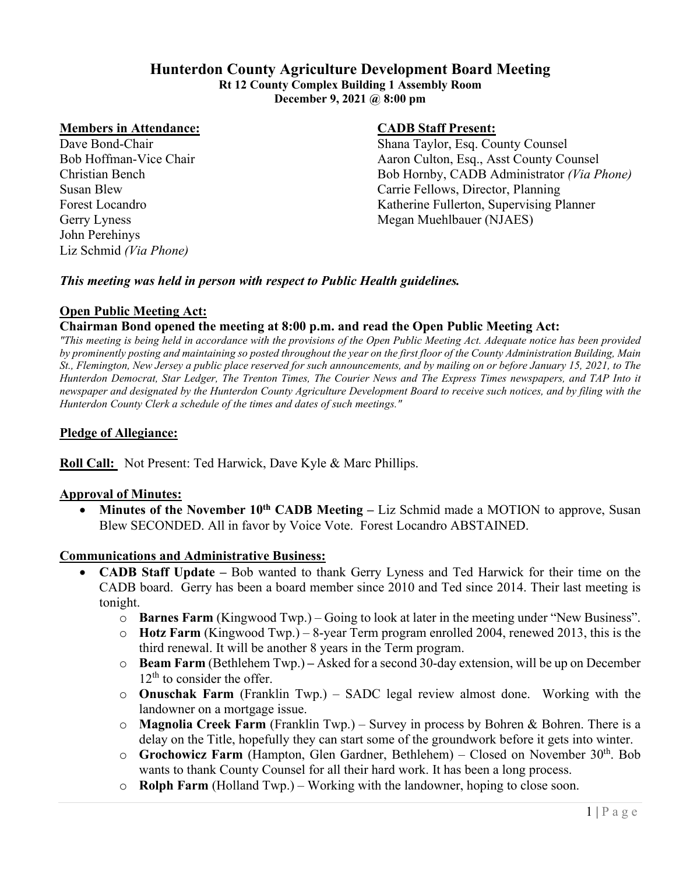# **Hunterdon County Agriculture Development Board Meeting**

**Rt 12 County Complex Building 1 Assembly Room December 9, 2021 @ 8:00 pm**

#### **Members in Attendance: CADB Staff Present:**

John Perehinys Liz Schmid *(Via Phone)*

Dave Bond-Chair Shana Taylor, Esq. County Counsel Bob Hoffman-Vice Chair Aaron Culton, Esq., Asst County Counsel Christian Bench Bob Hornby, CADB Administrator *(Via Phone)* Susan Blew Carrie Fellows, Director, Planning Forest Locandro **Katherine Fullerton, Supervising Planner** Katherine Fullerton, Supervising Planner Gerry Lyness Megan Muehlbauer (NJAES)

#### *This meeting was held in person with respect to Public Health guidelines.*

# **Open Public Meeting Act:**

#### **Chairman Bond opened the meeting at 8:00 p.m. and read the Open Public Meeting Act:**

*"This meeting is being held in accordance with the provisions of the Open Public Meeting Act. Adequate notice has been provided by prominently posting and maintaining so posted throughout the year on the first floor of the County Administration Building, Main St., Flemington, New Jersey a public place reserved for such announcements, and by mailing on or before January 15, 2021, to The Hunterdon Democrat, Star Ledger, The Trenton Times, The Courier News and The Express Times newspapers, and TAP Into it newspaper and designated by the Hunterdon County Agriculture Development Board to receive such notices, and by filing with the Hunterdon County Clerk a schedule of the times and dates of such meetings."*

## **Pledge of Allegiance:**

**Roll Call:** Not Present: Ted Harwick, Dave Kyle & Marc Phillips.

#### **Approval of Minutes:**

• Minutes of the November 10<sup>th</sup> CADB Meeting – Liz Schmid made a MOTION to approve, Susan Blew SECONDED. All in favor by Voice Vote. Forest Locandro ABSTAINED.

#### **Communications and Administrative Business:**

- **CADB Staff Update –** Bob wanted to thank Gerry Lyness and Ted Harwick for their time on the CADB board. Gerry has been a board member since 2010 and Ted since 2014. Their last meeting is tonight.
	- o **Barnes Farm** (Kingwood Twp.) Going to look at later in the meeting under "New Business".
	- o **Hotz Farm** (Kingwood Twp.) 8-year Term program enrolled 2004, renewed 2013, this is the third renewal. It will be another 8 years in the Term program.
	- o **Beam Farm** (Bethlehem Twp.) **–** Asked for a second 30-day extension, will be up on December  $12<sup>th</sup>$  to consider the offer.
	- o **Onuschak Farm** (Franklin Twp.) SADC legal review almost done. Working with the landowner on a mortgage issue.
	- o **Magnolia Creek Farm** (Franklin Twp.) Survey in process by Bohren & Bohren. There is a delay on the Title, hopefully they can start some of the groundwork before it gets into winter.
	- o **Grochowicz Farm** (Hampton, Glen Gardner, Bethlehem) Closed on November 30th. Bob wants to thank County Counsel for all their hard work. It has been a long process.
	- o **Rolph Farm** (Holland Twp.) Working with the landowner, hoping to close soon.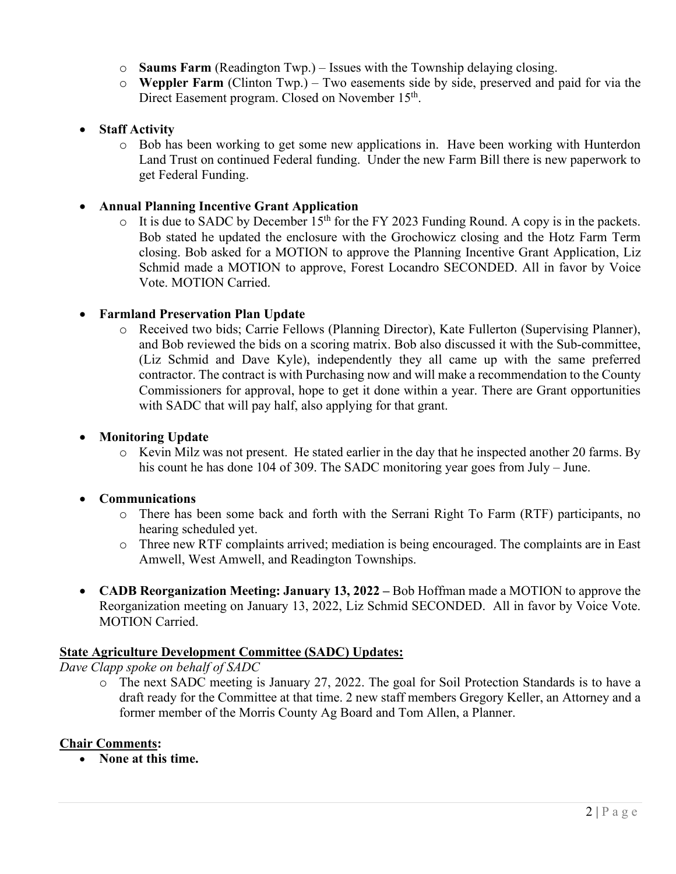- o **Saums Farm** (Readington Twp.) Issues with the Township delaying closing.
- o **Weppler Farm** (Clinton Twp.) Two easements side by side, preserved and paid for via the Direct Easement program. Closed on November 15<sup>th</sup>.

# • **Staff Activity**

o Bob has been working to get some new applications in. Have been working with Hunterdon Land Trust on continued Federal funding. Under the new Farm Bill there is new paperwork to get Federal Funding.

### • **Annual Planning Incentive Grant Application**

It is due to SADC by December  $15<sup>th</sup>$  for the FY 2023 Funding Round. A copy is in the packets. Bob stated he updated the enclosure with the Grochowicz closing and the Hotz Farm Term closing. Bob asked for a MOTION to approve the Planning Incentive Grant Application, Liz Schmid made a MOTION to approve, Forest Locandro SECONDED. All in favor by Voice Vote. MOTION Carried.

#### • **Farmland Preservation Plan Update**

o Received two bids; Carrie Fellows (Planning Director), Kate Fullerton (Supervising Planner), and Bob reviewed the bids on a scoring matrix. Bob also discussed it with the Sub-committee, (Liz Schmid and Dave Kyle), independently they all came up with the same preferred contractor. The contract is with Purchasing now and will make a recommendation to the County Commissioners for approval, hope to get it done within a year. There are Grant opportunities with SADC that will pay half, also applying for that grant.

#### • **Monitoring Update**

o Kevin Milz was not present. He stated earlier in the day that he inspected another 20 farms. By his count he has done 104 of 309. The SADC monitoring year goes from July – June.

#### • **Communications**

- o There has been some back and forth with the Serrani Right To Farm (RTF) participants, no hearing scheduled yet.
- o Three new RTF complaints arrived; mediation is being encouraged. The complaints are in East Amwell, West Amwell, and Readington Townships.
- **CADB Reorganization Meeting: January 13, 2022 –** Bob Hoffman made a MOTION to approve the Reorganization meeting on January 13, 2022, Liz Schmid SECONDED. All in favor by Voice Vote. MOTION Carried.

#### **State Agriculture Development Committee (SADC) Updates:**

*Dave Clapp spoke on behalf of SADC*

o The next SADC meeting is January 27, 2022. The goal for Soil Protection Standards is to have a draft ready for the Committee at that time. 2 new staff members Gregory Keller, an Attorney and a former member of the Morris County Ag Board and Tom Allen, a Planner.

#### **Chair Comments:**

• **None at this time.**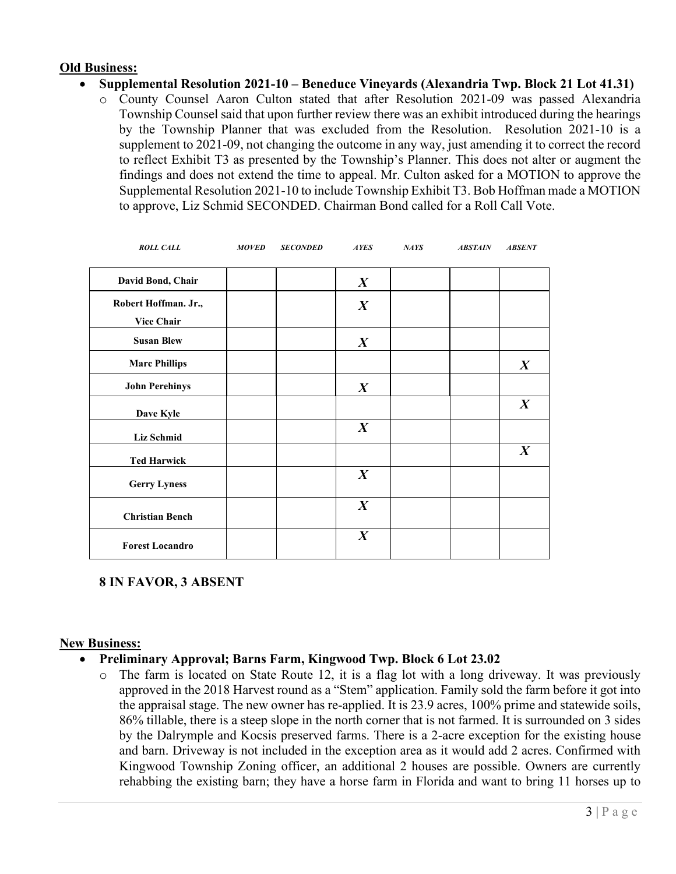# **Old Business:**

- **Supplemental Resolution 2021-10 – Beneduce Vineyards (Alexandria Twp. Block 21 Lot 41.31)**
	- o County Counsel Aaron Culton stated that after Resolution 2021-09 was passed Alexandria Township Counsel said that upon further review there was an exhibit introduced during the hearings by the Township Planner that was excluded from the Resolution. Resolution 2021-10 is a supplement to 2021-09, not changing the outcome in any way, just amending it to correct the record to reflect Exhibit T3 as presented by the Township's Planner. This does not alter or augment the findings and does not extend the time to appeal. Mr. Culton asked for a MOTION to approve the Supplemental Resolution 2021-10 to include Township Exhibit T3. Bob Hoffman made a MOTION to approve, Liz Schmid SECONDED. Chairman Bond called for a Roll Call Vote.

| <b>ROLL CALL</b>       | <b>MOVED</b> | <b>SECONDED</b> | <b>AYES</b>      | NAYS | <b>ABSTAIN</b> | <b>ABSENT</b>    |
|------------------------|--------------|-----------------|------------------|------|----------------|------------------|
| David Bond, Chair      |              |                 | $\boldsymbol{X}$ |      |                |                  |
| Robert Hoffman. Jr.,   |              |                 | $\boldsymbol{X}$ |      |                |                  |
| <b>Vice Chair</b>      |              |                 |                  |      |                |                  |
| <b>Susan Blew</b>      |              |                 | $\boldsymbol{X}$ |      |                |                  |
| <b>Marc Phillips</b>   |              |                 |                  |      |                | $\boldsymbol{X}$ |
| <b>John Perehinys</b>  |              |                 | $\boldsymbol{X}$ |      |                |                  |
| Dave Kyle              |              |                 |                  |      |                | $\boldsymbol{X}$ |
| <b>Liz Schmid</b>      |              |                 | $\boldsymbol{X}$ |      |                |                  |
| <b>Ted Harwick</b>     |              |                 |                  |      |                | $\boldsymbol{X}$ |
| <b>Gerry Lyness</b>    |              |                 | $\boldsymbol{X}$ |      |                |                  |
| <b>Christian Bench</b> |              |                 | $\boldsymbol{X}$ |      |                |                  |
| <b>Forest Locandro</b> |              |                 | $\boldsymbol{X}$ |      |                |                  |

# **8 IN FAVOR, 3 ABSENT**

#### **New Business:**

# • **Preliminary Approval; Barns Farm, Kingwood Twp. Block 6 Lot 23.02**

o The farm is located on State Route 12, it is a flag lot with a long driveway. It was previously approved in the 2018 Harvest round as a "Stem" application. Family sold the farm before it got into the appraisal stage. The new owner has re-applied. It is 23.9 acres, 100% prime and statewide soils, 86% tillable, there is a steep slope in the north corner that is not farmed. It is surrounded on 3 sides by the Dalrymple and Kocsis preserved farms. There is a 2-acre exception for the existing house and barn. Driveway is not included in the exception area as it would add 2 acres. Confirmed with Kingwood Township Zoning officer, an additional 2 houses are possible. Owners are currently rehabbing the existing barn; they have a horse farm in Florida and want to bring 11 horses up to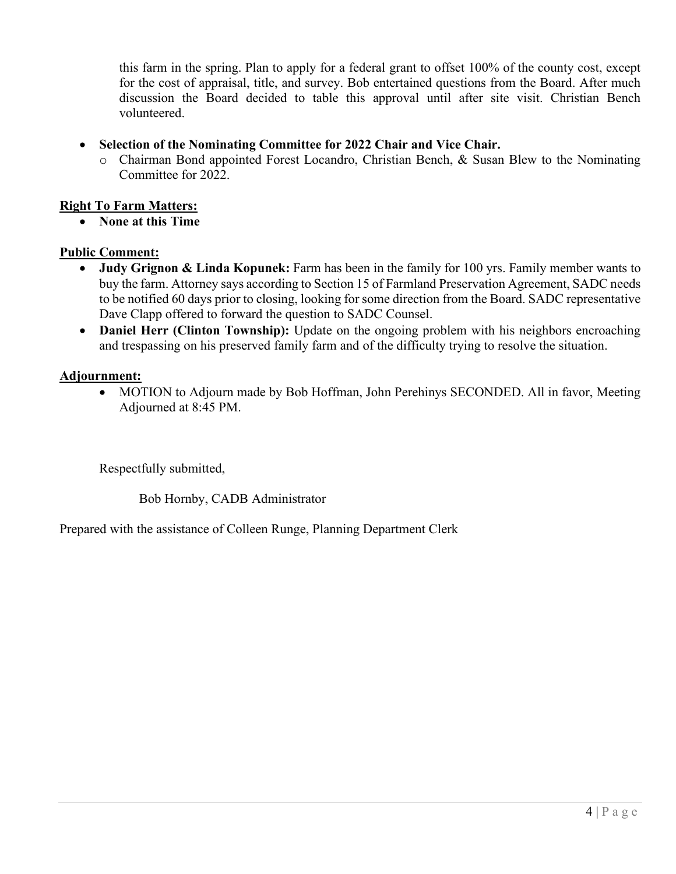this farm in the spring. Plan to apply for a federal grant to offset 100% of the county cost, except for the cost of appraisal, title, and survey. Bob entertained questions from the Board. After much discussion the Board decided to table this approval until after site visit. Christian Bench volunteered.

- **Selection of the Nominating Committee for 2022 Chair and Vice Chair.**
	- o Chairman Bond appointed Forest Locandro, Christian Bench, & Susan Blew to the Nominating Committee for 2022.

# **Right To Farm Matters:**

• **None at this Time**

# **Public Comment:**

- **Judy Grignon & Linda Kopunek:** Farm has been in the family for 100 yrs. Family member wants to buy the farm. Attorney says according to Section 15 of Farmland Preservation Agreement, SADC needs to be notified 60 days prior to closing, looking for some direction from the Board. SADC representative Dave Clapp offered to forward the question to SADC Counsel.
- **Daniel Herr (Clinton Township):** Update on the ongoing problem with his neighbors encroaching and trespassing on his preserved family farm and of the difficulty trying to resolve the situation.

# **Adjournment:**

• MOTION to Adjourn made by Bob Hoffman, John Perehinys SECONDED. All in favor, Meeting Adjourned at 8:45 PM.

Respectfully submitted,

Bob Hornby, CADB Administrator

Prepared with the assistance of Colleen Runge, Planning Department Clerk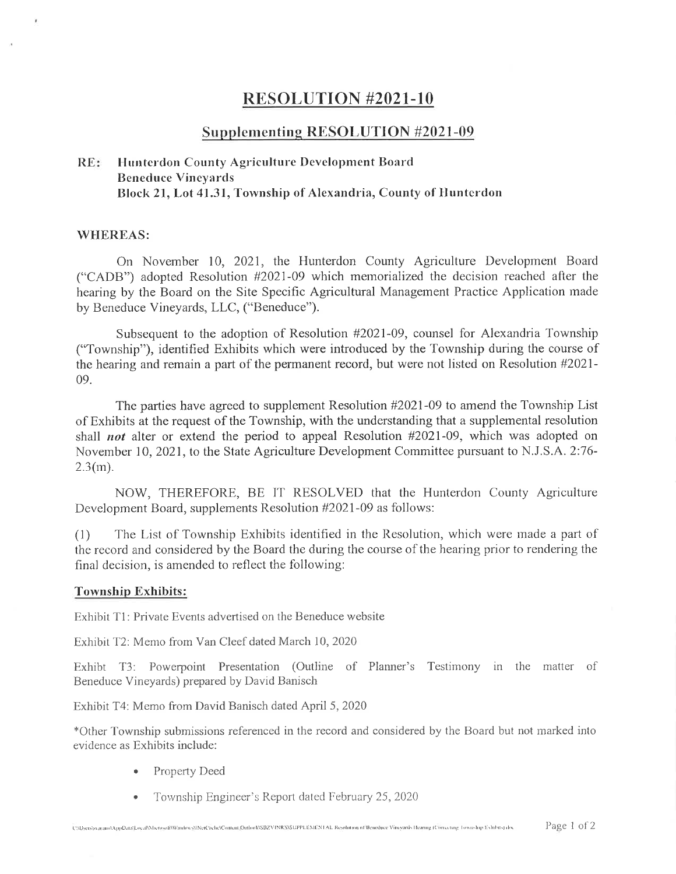# **RESOLUTION #2021-10**

# **Supplementing RESOLUTION #2021-09**

#### Hunterdon County Agriculture Development Board  $RE:$ **Beneduce Vineyards** Block 21, Lot 41.31, Township of Alexandria, County of Hunterdon

#### **WHEREAS:**

On November 10, 2021, the Hunterdon County Agriculture Development Board ("CADB") adopted Resolution #2021-09 which memorialized the decision reached after the hearing by the Board on the Site Specific Agricultural Management Practice Application made by Beneduce Vineyards, LLC, ("Beneduce").

Subsequent to the adoption of Resolution #2021-09, counsel for Alexandria Township ("Township"), identified Exhibits which were introduced by the Township during the course of the hearing and remain a part of the permanent record, but were not listed on Resolution #2021-09.

The parties have agreed to supplement Resolution #2021-09 to amend the Township List of Exhibits at the request of the Township, with the understanding that a supplemental resolution shall *not* alter or extend the period to appeal Resolution #2021-09, which was adopted on November 10, 2021, to the State Agriculture Development Committee pursuant to N.J.S.A. 2:76- $2.3(m).$ 

NOW, THEREFORE, BE IT RESOLVED that the Hunterdon County Agriculture Development Board, supplements Resolution #2021-09 as follows:

The List of Township Exhibits identified in the Resolution, which were made a part of  $(1)$ the record and considered by the Board the during the course of the hearing prior to rendering the final decision, is amended to reflect the following:

#### **Township Exhibits:**

Exhibit T1: Private Events advertised on the Beneduce website

Exhibit T2: Memo from Van Cleef dated March 10, 2020

Exhibit T3: Powerpoint Presentation (Outline of Planner's Testimony in the matter of Beneduce Vineyards) prepared by David Banisch

Exhibit T4: Memo from David Banisch dated April 5, 2020

\*Other Township submissions referenced in the record and considered by the Board but not marked into evidence as Exhibits include:

- Property Deed  $\bullet$
- Township Engineer's Report dated February 25, 2020